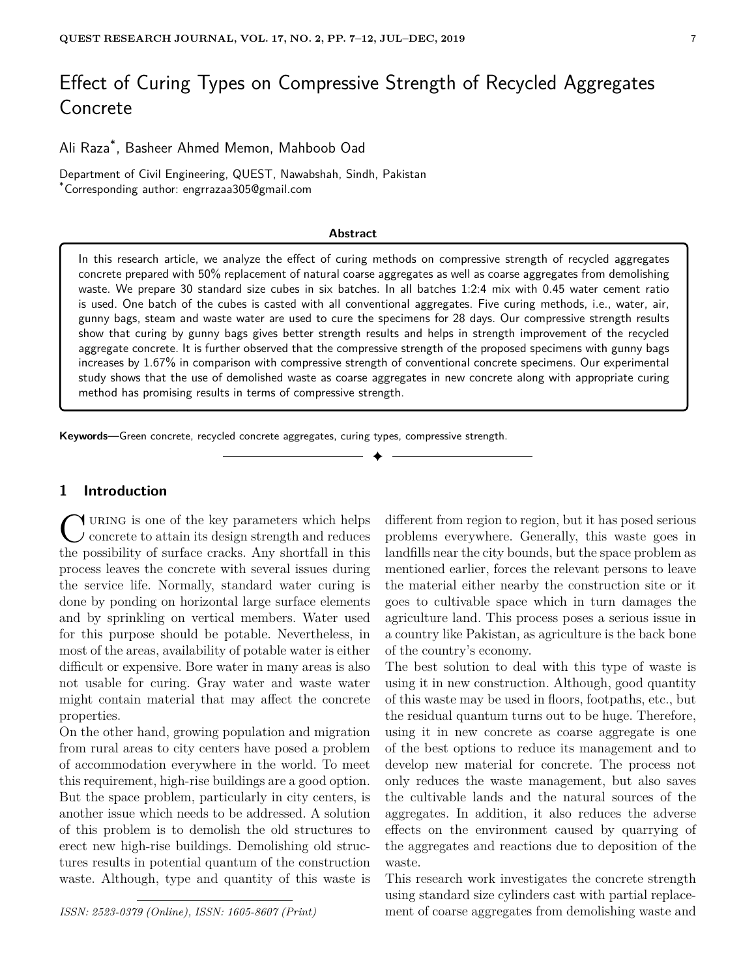# Effect of Curing Types on Compressive Strength of Recycled Aggregates Concrete

Ali Raza\* , Basheer Ahmed Memon, Mahboob Oad

Department of Civil Engineering, QUEST, Nawabshah, Sindh, Pakistan \*Corresponding author: engrrazaa305@gmail.com

#### **Abstract**

In this research article, we analyze the effect of curing methods on compressive strength of recycled aggregates concrete prepared with 50% replacement of natural coarse aggregates as well as coarse aggregates from demolishing waste. We prepare 30 standard size cubes in six batches. In all batches 1:2:4 mix with 0.45 water cement ratio is used. One batch of the cubes is casted with all conventional aggregates. Five curing methods, i.e., water, air, gunny bags, steam and waste water are used to cure the specimens for 28 days. Our compressive strength results show that curing by gunny bags gives better strength results and helps in strength improvement of the recycled aggregate concrete. It is further observed that the compressive strength of the proposed specimens with gunny bags increases by 1.67% in comparison with compressive strength of conventional concrete specimens. Our experimental study shows that the use of demolished waste as coarse aggregates in new concrete along with appropriate curing method has promising results in terms of compressive strength.

✦

**Keywords**—Green concrete, recycled concrete aggregates, curing types, compressive strength.

# **1 Introduction**

C URING is one of the key parameters which helps<br>concrete to attain its design strength and reduces<br>the possibility of surface cracks. Any shortfall in this URING is one of the key parameters which helps concrete to attain its design strength and reduces process leaves the concrete with several issues during the service life. Normally, standard water curing is done by ponding on horizontal large surface elements and by sprinkling on vertical members. Water used for this purpose should be potable. Nevertheless, in most of the areas, availability of potable water is either difficult or expensive. Bore water in many areas is also not usable for curing. Gray water and waste water might contain material that may affect the concrete properties.

On the other hand, growing population and migration from rural areas to city centers have posed a problem of accommodation everywhere in the world. To meet this requirement, high-rise buildings are a good option. But the space problem, particularly in city centers, is another issue which needs to be addressed. A solution of this problem is to demolish the old structures to erect new high-rise buildings. Demolishing old structures results in potential quantum of the construction waste. Although, type and quantity of this waste is different from region to region, but it has posed serious problems everywhere. Generally, this waste goes in landfills near the city bounds, but the space problem as mentioned earlier, forces the relevant persons to leave the material either nearby the construction site or it goes to cultivable space which in turn damages the agriculture land. This process poses a serious issue in a country like Pakistan, as agriculture is the back bone of the country's economy.

The best solution to deal with this type of waste is using it in new construction. Although, good quantity of this waste may be used in floors, footpaths, etc., but the residual quantum turns out to be huge. Therefore, using it in new concrete as coarse aggregate is one of the best options to reduce its management and to develop new material for concrete. The process not only reduces the waste management, but also saves the cultivable lands and the natural sources of the aggregates. In addition, it also reduces the adverse effects on the environment caused by quarrying of the aggregates and reactions due to deposition of the waste.

This research work investigates the concrete strength using standard size cylinders cast with partial replacement of coarse aggregates from demolishing waste and

*ISSN: 2523-0379 (Online), ISSN: 1605-8607 (Print)*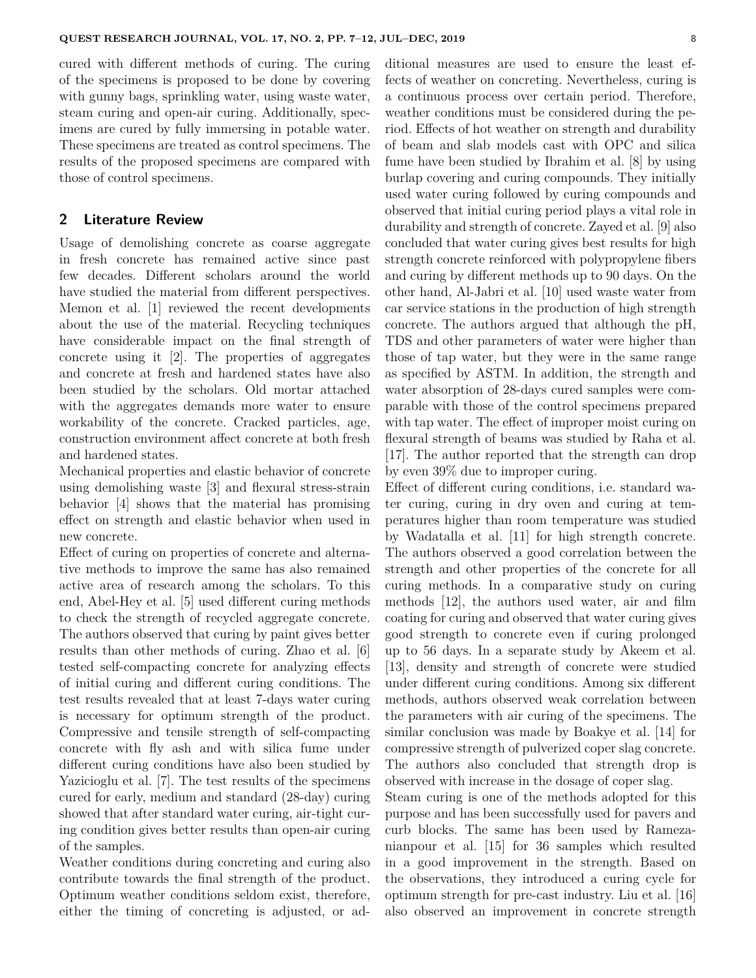cured with different methods of curing. The curing of the specimens is proposed to be done by covering with gunny bags, sprinkling water, using waste water, steam curing and open-air curing. Additionally, specimens are cured by fully immersing in potable water. These specimens are treated as control specimens. The results of the proposed specimens are compared with those of control specimens.

### **2 Literature Review**

Usage of demolishing concrete as coarse aggregate in fresh concrete has remained active since past few decades. Different scholars around the world have studied the material from different perspectives. Memon et al. [1] reviewed the recent developments about the use of the material. Recycling techniques have considerable impact on the final strength of concrete using it [2]. The properties of aggregates and concrete at fresh and hardened states have also been studied by the scholars. Old mortar attached with the aggregates demands more water to ensure workability of the concrete. Cracked particles, age, construction environment affect concrete at both fresh and hardened states.

Mechanical properties and elastic behavior of concrete using demolishing waste [3] and flexural stress-strain behavior [4] shows that the material has promising effect on strength and elastic behavior when used in new concrete.

Effect of curing on properties of concrete and alternative methods to improve the same has also remained active area of research among the scholars. To this end, Abel-Hey et al. [5] used different curing methods to check the strength of recycled aggregate concrete. The authors observed that curing by paint gives better results than other methods of curing. Zhao et al. [6] tested self-compacting concrete for analyzing effects of initial curing and different curing conditions. The test results revealed that at least 7-days water curing is necessary for optimum strength of the product. Compressive and tensile strength of self-compacting concrete with fly ash and with silica fume under different curing conditions have also been studied by Yazicioglu et al. [7]. The test results of the specimens cured for early, medium and standard (28-day) curing showed that after standard water curing, air-tight curing condition gives better results than open-air curing of the samples.

Weather conditions during concreting and curing also contribute towards the final strength of the product. Optimum weather conditions seldom exist, therefore, either the timing of concreting is adjusted, or additional measures are used to ensure the least effects of weather on concreting. Nevertheless, curing is a continuous process over certain period. Therefore, weather conditions must be considered during the period. Effects of hot weather on strength and durability of beam and slab models cast with OPC and silica fume have been studied by Ibrahim et al. [8] by using burlap covering and curing compounds. They initially used water curing followed by curing compounds and observed that initial curing period plays a vital role in durability and strength of concrete. Zayed et al. [9] also concluded that water curing gives best results for high strength concrete reinforced with polypropylene fibers and curing by different methods up to 90 days. On the other hand, Al-Jabri et al. [10] used waste water from car service stations in the production of high strength concrete. The authors argued that although the pH, TDS and other parameters of water were higher than those of tap water, but they were in the same range as specified by ASTM. In addition, the strength and water absorption of 28-days cured samples were comparable with those of the control specimens prepared with tap water. The effect of improper moist curing on flexural strength of beams was studied by Raha et al. [17]. The author reported that the strength can drop by even 39% due to improper curing.

Effect of different curing conditions, i.e. standard water curing, curing in dry oven and curing at temperatures higher than room temperature was studied by Wadatalla et al. [11] for high strength concrete. The authors observed a good correlation between the strength and other properties of the concrete for all curing methods. In a comparative study on curing methods [12], the authors used water, air and film coating for curing and observed that water curing gives good strength to concrete even if curing prolonged up to 56 days. In a separate study by Akeem et al. [13], density and strength of concrete were studied under different curing conditions. Among six different methods, authors observed weak correlation between the parameters with air curing of the specimens. The similar conclusion was made by Boakye et al. [14] for compressive strength of pulverized coper slag concrete. The authors also concluded that strength drop is observed with increase in the dosage of coper slag.

Steam curing is one of the methods adopted for this purpose and has been successfully used for pavers and curb blocks. The same has been used by Ramezanianpour et al. [15] for 36 samples which resulted in a good improvement in the strength. Based on the observations, they introduced a curing cycle for optimum strength for pre-cast industry. Liu et al. [16] also observed an improvement in concrete strength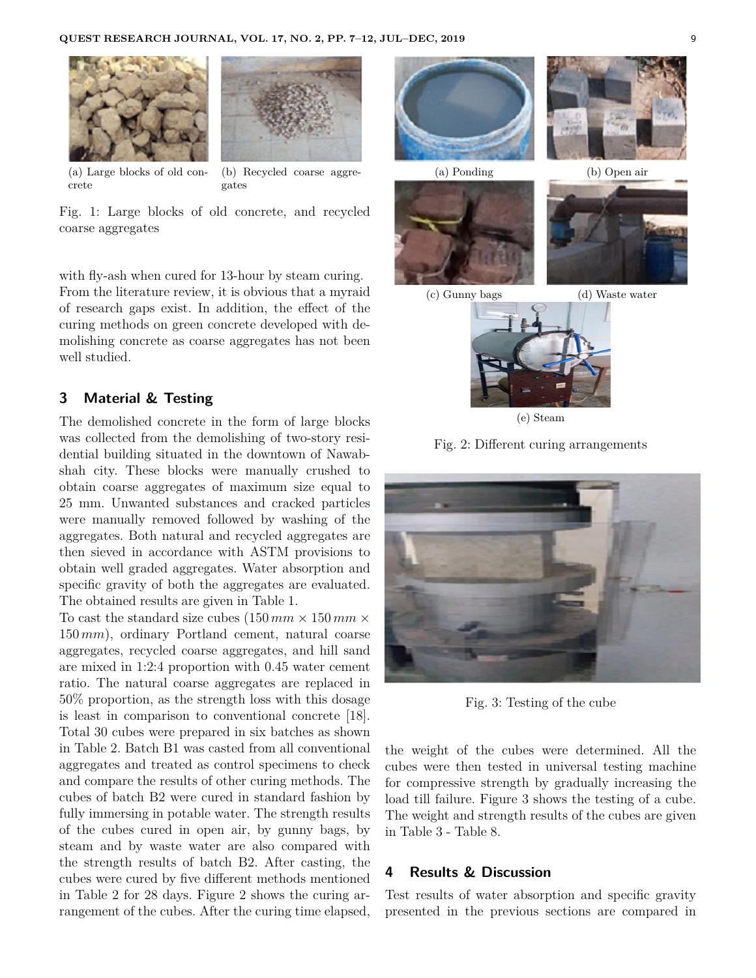



(a) Large blocks of old concrete

(b) Recycled coarse aggregates

Fig. 1: Large blocks of old concrete, and recycled coarse aggregates

with fly-ash when cured for 13-hour by steam curing. From the literature review, it is obvious that a myraid of research gaps exist. In addition, the effect of the curing methods on green concrete developed with demolishing concrete as coarse aggregates has not been well studied.

## **3 Material & Testing**

The demolished concrete in the form of large blocks was collected from the demolishing of two-story residential building situated in the downtown of Nawabshah city. These blocks were manually crushed to obtain coarse aggregates of maximum size equal to 25 mm. Unwanted substances and cracked particles were manually removed followed by washing of the aggregates. Both natural and recycled aggregates are then sieved in accordance with ASTM provisions to obtain well graded aggregates. Water absorption and specific gravity of both the aggregates are evaluated. The obtained results are given in Table 1.

To cast the standard size cubes  $(150\,mm \times 150\,mm \times$ 150 *mm*), ordinary Portland cement, natural coarse aggregates, recycled coarse aggregates, and hill sand are mixed in 1:2:4 proportion with 0.45 water cement ratio. The natural coarse aggregates are replaced in 50% proportion, as the strength loss with this dosage is least in comparison to conventional concrete [18]. Total 30 cubes were prepared in six batches as shown in Table 2. Batch B1 was casted from all conventional aggregates and treated as control specimens to check and compare the results of other curing methods. The cubes of batch B2 were cured in standard fashion by fully immersing in potable water. The strength results of the cubes cured in open air, by gunny bags, by steam and by waste water are also compared with the strength results of batch B2. After casting, the cubes were cured by five different methods mentioned in Table 2 for 28 days. Figure 2 shows the curing arrangement of the cubes. After the curing time elapsed,



(e) Steam Fig. 2: Different curing arrangements



Fig. 3: Testing of the cube

the weight of the cubes were determined. All the cubes were then tested in universal testing machine for compressive strength by gradually increasing the load till failure. Figure 3 shows the testing of a cube. The weight and strength results of the cubes are given in Table 3 - Table 8.

# **4 Results & Discussion**

Test results of water absorption and specific gravity presented in the previous sections are compared in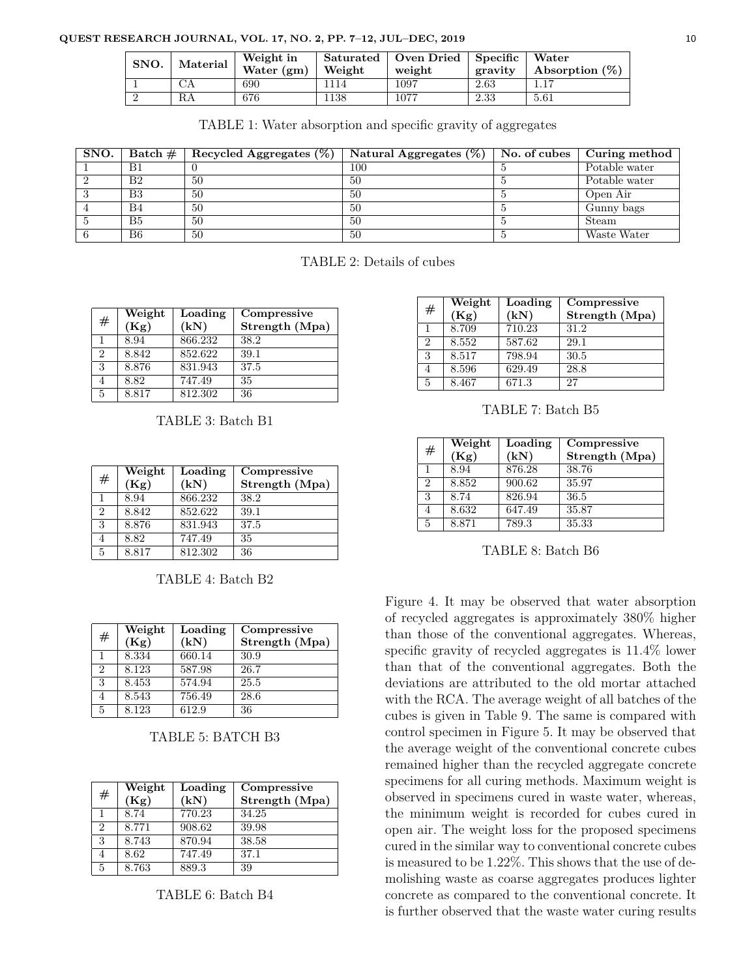#### **QUEST RESEARCH JOURNAL, VOL. 17, NO. 2, PP. 7–12, JUL–DEC, 2019** 10

|      |          | Weight in    | Saturated | Oven Dried   Specific |         | Water             |
|------|----------|--------------|-----------|-----------------------|---------|-------------------|
| SNO. | Material | Water $(gm)$ | Weight    | weight                | gravity | Absorption $(\%)$ |
|      | CA       | 690          | 1114      | 1097                  | 2.63    | 1.17              |
|      | RA       | 676          | 1138      | 1077                  | 2.33    | 5.61              |

|  | TABLE 1: Water absorption and specific gravity of aggregate- |  |  |  |
|--|--------------------------------------------------------------|--|--|--|
|  |                                                              |  |  |  |

| SNO. | Batch $\#$     | Recycled Aggregates $(\%)$ | Natural Aggregates $(\%)$ | No. of cubes | Curing method |
|------|----------------|----------------------------|---------------------------|--------------|---------------|
|      | B1             |                            | 100                       |              | Potable water |
|      | B <sub>2</sub> | 50                         | 50                        |              | Potable water |
|      | B3             | 50                         | 50                        |              | Open Air      |
|      | B4             | 50                         | 50                        |              | Gunny bags    |
|      | B5             | 50                         | 50                        |              | Steam         |
|      | B6             | 50                         | 50                        |              | Waste Water   |

TABLE 2: Details of cubes

|                | Weight | Loading | Compressive    |
|----------------|--------|---------|----------------|
| $^{\#}$        | (Kg)   | (kN)    | Strength (Mpa) |
|                | 8.94   | 866.232 | 38.2           |
| $\overline{2}$ | 8.842  | 852.622 | 39.1           |
| 3              | 8.876  | 831.943 | 37.5           |
|                | 8.82   | 747.49  | 35             |
| 5              | 8.817  | 812.302 | 36             |

TABLE 3: Batch B1

| # | Weight<br>(Kg) | Loading<br>(kN) | Compressive<br>Strength (Mpa) |
|---|----------------|-----------------|-------------------------------|
|   | 8.94           | 866.232         | 38.2                          |
| 2 | 8.842          | 852.622         | 39.1                          |
| 3 | 8.876          | 831.943         | 37.5                          |
|   | 8.82           | 747.49          | 35                            |
| 5 | 8.817          | 812.302         | 36                            |

TABLE 4: Batch B2

| $^{\#}$        | Weight<br>(Kg) | Loading<br>(kN) | Compressive<br>Strength (Mpa) |
|----------------|----------------|-----------------|-------------------------------|
|                | 8.334          | 660.14          | 30.9                          |
| $\mathfrak{D}$ | 8.123          | 587.98          | 26.7                          |
| 3              | 8.453          | 574.94          | 25.5                          |
|                | 8.543          | 756.49          | 28.6                          |
| $\overline{5}$ | 8.123          | 612.9           | 36                            |

TABLE 5: BATCH B3

| #             | Weight<br>(Kg) | Loading<br>(kN) | Compressive<br>Strength (Mpa) |
|---------------|----------------|-----------------|-------------------------------|
|               | 8.74           | 770.23          | 34.25                         |
| $\mathcal{D}$ | 8.771          | 908.62          | 39.98                         |
| 3             | 8.743          | 870.94          | 38.58                         |
|               | 8.62           | 747.49          | 37.1                          |
| 5             | 8.763          | 889.3           | 39                            |

TABLE 6: Batch B4

| $\#$          | Weight | Loading | Compressive    |
|---------------|--------|---------|----------------|
|               | (Kg)   | (kN)    | Strength (Mpa) |
|               | 8.709  | 710.23  | 31.2           |
| $\mathcal{D}$ | 8.552  | 587.62  | 29.1           |
| 3             | 8.517  | 798.94  | 30.5           |
|               | 8.596  | 629.49  | 28.8           |
| 5             | 8.467  | 671.3   | 27             |

TABLE 7: Batch B5

| $^{\#}$        | Weight<br>(Kg) | Loading<br>(kN) | Compressive<br>Strength (Mpa) |
|----------------|----------------|-----------------|-------------------------------|
|                | 8.94           | 876.28          | 38.76                         |
| $\overline{2}$ | 8.852          | 900.62          | 35.97                         |
| 3              | 8.74           | 826.94          | 36.5                          |
| 4              | 8.632          | 647.49          | 35.87                         |
| 5              | 8.871          | 789.3           | 35.33                         |

TABLE 8: Batch B6

Figure 4. It may be observed that water absorption of recycled aggregates is approximately 380% higher than those of the conventional aggregates. Whereas, specific gravity of recycled aggregates is 11.4% lower than that of the conventional aggregates. Both the deviations are attributed to the old mortar attached with the RCA. The average weight of all batches of the cubes is given in Table 9. The same is compared with control specimen in Figure 5. It may be observed that the average weight of the conventional concrete cubes remained higher than the recycled aggregate concrete specimens for all curing methods. Maximum weight is observed in specimens cured in waste water, whereas, the minimum weight is recorded for cubes cured in open air. The weight loss for the proposed specimens cured in the similar way to conventional concrete cubes is measured to be 1.22%. This shows that the use of demolishing waste as coarse aggregates produces lighter concrete as compared to the conventional concrete. It is further observed that the waste water curing results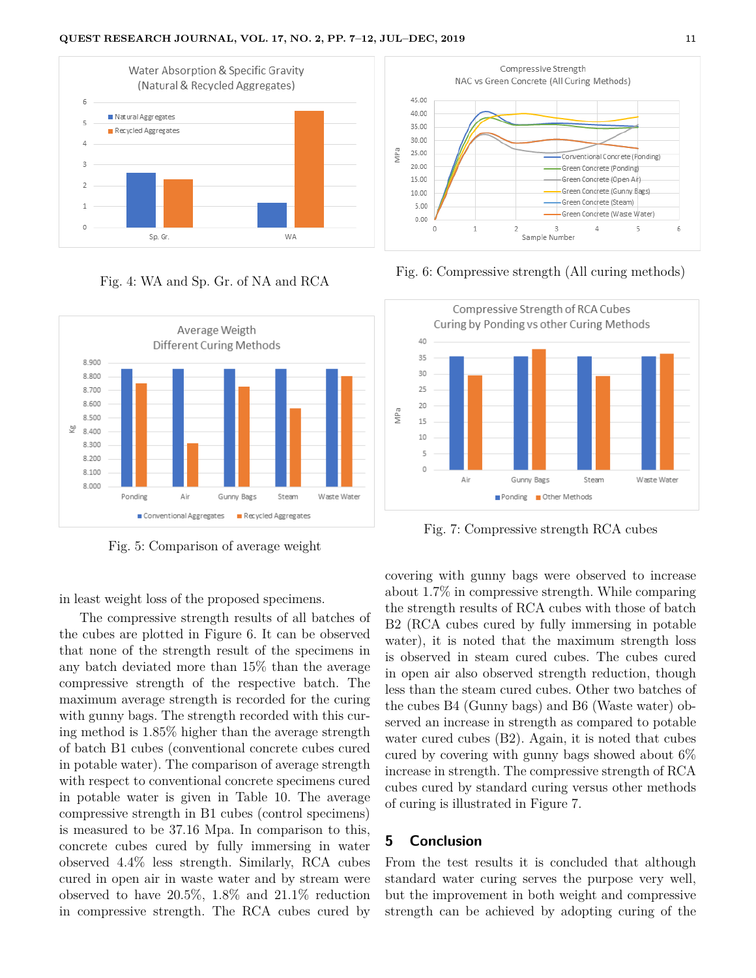

Fig. 4: WA and Sp. Gr. of NA and RCA



Fig. 5: Comparison of average weight

in least weight loss of the proposed specimens.

The compressive strength results of all batches of the cubes are plotted in Figure 6. It can be observed that none of the strength result of the specimens in any batch deviated more than 15% than the average compressive strength of the respective batch. The maximum average strength is recorded for the curing with gunny bags. The strength recorded with this curing method is 1.85% higher than the average strength of batch B1 cubes (conventional concrete cubes cured in potable water). The comparison of average strength with respect to conventional concrete specimens cured in potable water is given in Table 10. The average compressive strength in B1 cubes (control specimens) is measured to be 37.16 Mpa. In comparison to this, concrete cubes cured by fully immersing in water observed 4.4% less strength. Similarly, RCA cubes cured in open air in waste water and by stream were observed to have 20.5%, 1.8% and 21.1% reduction in compressive strength. The RCA cubes cured by



Fig. 6: Compressive strength (All curing methods)



Fig. 7: Compressive strength RCA cubes

covering with gunny bags were observed to increase about 1.7% in compressive strength. While comparing the strength results of RCA cubes with those of batch B2 (RCA cubes cured by fully immersing in potable water), it is noted that the maximum strength loss is observed in steam cured cubes. The cubes cured in open air also observed strength reduction, though less than the steam cured cubes. Other two batches of the cubes B4 (Gunny bags) and B6 (Waste water) observed an increase in strength as compared to potable water cured cubes (B2). Again, it is noted that cubes cured by covering with gunny bags showed about 6% increase in strength. The compressive strength of RCA cubes cured by standard curing versus other methods of curing is illustrated in Figure 7.

# **5 Conclusion**

From the test results it is concluded that although standard water curing serves the purpose very well, but the improvement in both weight and compressive strength can be achieved by adopting curing of the